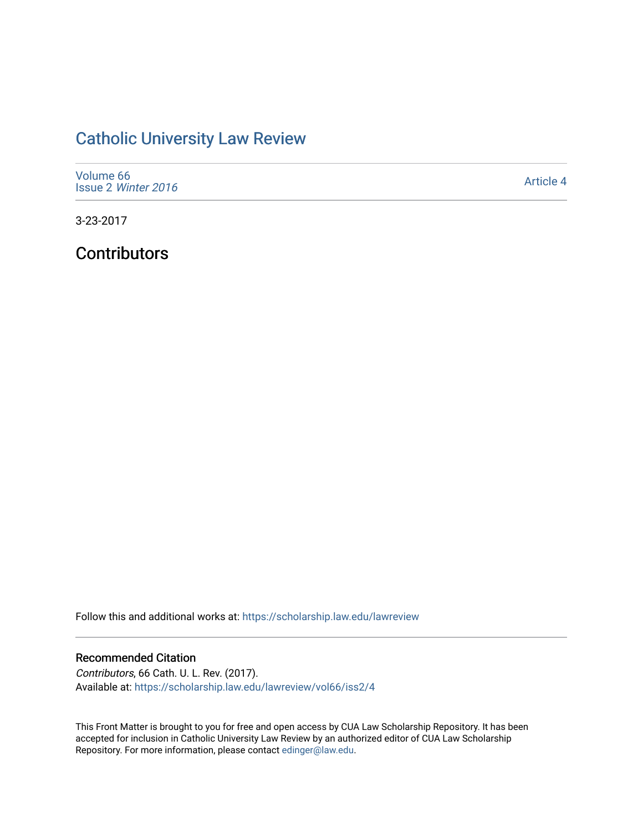## [Catholic University Law Review](https://scholarship.law.edu/lawreview)

| Volume 66<br>Issue 2 Winter 2016 | Article 4 |
|----------------------------------|-----------|
|----------------------------------|-----------|

3-23-2017

**Contributors** 

Follow this and additional works at: [https://scholarship.law.edu/lawreview](https://scholarship.law.edu/lawreview?utm_source=scholarship.law.edu%2Flawreview%2Fvol66%2Fiss2%2F4&utm_medium=PDF&utm_campaign=PDFCoverPages)

## Recommended Citation

Contributors, 66 Cath. U. L. Rev. (2017). Available at: [https://scholarship.law.edu/lawreview/vol66/iss2/4](https://scholarship.law.edu/lawreview/vol66/iss2/4?utm_source=scholarship.law.edu%2Flawreview%2Fvol66%2Fiss2%2F4&utm_medium=PDF&utm_campaign=PDFCoverPages)

This Front Matter is brought to you for free and open access by CUA Law Scholarship Repository. It has been accepted for inclusion in Catholic University Law Review by an authorized editor of CUA Law Scholarship Repository. For more information, please contact [edinger@law.edu.](mailto:edinger@law.edu)